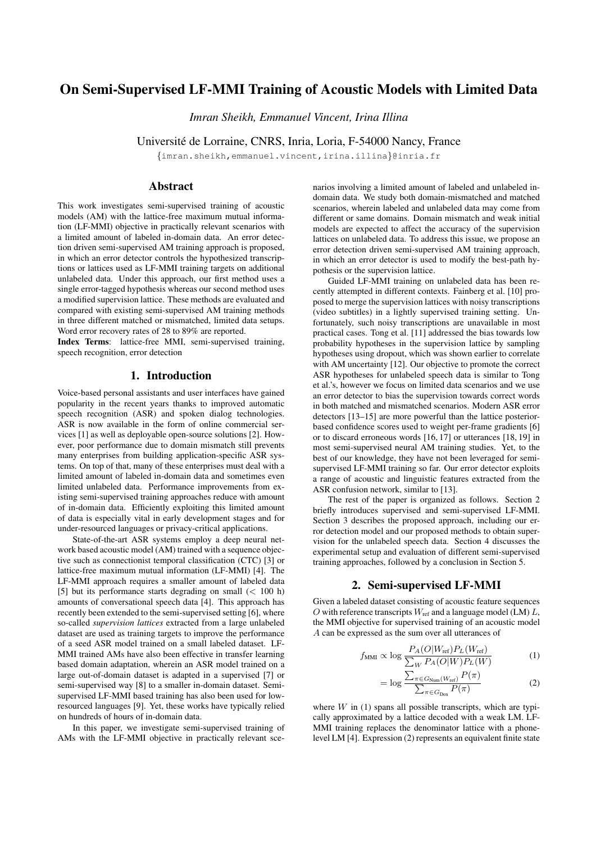# On Semi-Supervised LF-MMI Training of Acoustic Models with Limited Data

*Imran Sheikh, Emmanuel Vincent, Irina Illina*

Universite de Lorraine, CNRS, Inria, Loria, F-54000 Nancy, France ´

{imran.sheikh,emmanuel.vincent,irina.illina}@inria.fr

# **Abstract**

This work investigates semi-supervised training of acoustic models (AM) with the lattice-free maximum mutual information (LF-MMI) objective in practically relevant scenarios with a limited amount of labeled in-domain data. An error detection driven semi-supervised AM training approach is proposed, in which an error detector controls the hypothesized transcriptions or lattices used as LF-MMI training targets on additional unlabeled data. Under this approach, our first method uses a single error-tagged hypothesis whereas our second method uses a modified supervision lattice. These methods are evaluated and compared with existing semi-supervised AM training methods in three different matched or mismatched, limited data setups. Word error recovery rates of 28 to 89% are reported.

Index Terms: lattice-free MMI, semi-supervised training, speech recognition, error detection

# 1. Introduction

Voice-based personal assistants and user interfaces have gained popularity in the recent years thanks to improved automatic speech recognition (ASR) and spoken dialog technologies. ASR is now available in the form of online commercial services [1] as well as deployable open-source solutions [2]. However, poor performance due to domain mismatch still prevents many enterprises from building application-specific ASR systems. On top of that, many of these enterprises must deal with a limited amount of labeled in-domain data and sometimes even limited unlabeled data. Performance improvements from existing semi-supervised training approaches reduce with amount of in-domain data. Efficiently exploiting this limited amount of data is especially vital in early development stages and for under-resourced languages or privacy-critical applications.

State-of-the-art ASR systems employ a deep neural network based acoustic model (AM) trained with a sequence objective such as connectionist temporal classification (CTC) [3] or lattice-free maximum mutual information (LF-MMI) [4]. The LF-MMI approach requires a smaller amount of labeled data [5] but its performance starts degrading on small (< 100 h) amounts of conversational speech data [4]. This approach has recently been extended to the semi-supervised setting [6], where so-called *supervision lattices* extracted from a large unlabeled dataset are used as training targets to improve the performance of a seed ASR model trained on a small labeled dataset. LF-MMI trained AMs have also been effective in transfer learning based domain adaptation, wherein an ASR model trained on a large out-of-domain dataset is adapted in a supervised [7] or semi-supervised way [8] to a smaller in-domain dataset. Semisupervised LF-MMI based training has also been used for lowresourced languages [9]. Yet, these works have typically relied on hundreds of hours of in-domain data.

In this paper, we investigate semi-supervised training of AMs with the LF-MMI objective in practically relevant scenarios involving a limited amount of labeled and unlabeled indomain data. We study both domain-mismatched and matched scenarios, wherein labeled and unlabeled data may come from different or same domains. Domain mismatch and weak initial models are expected to affect the accuracy of the supervision lattices on unlabeled data. To address this issue, we propose an error detection driven semi-supervised AM training approach, in which an error detector is used to modify the best-path hypothesis or the supervision lattice.

Guided LF-MMI training on unlabeled data has been recently attempted in different contexts. Fainberg et al. [10] proposed to merge the supervision lattices with noisy transcriptions (video subtitles) in a lightly supervised training setting. Unfortunately, such noisy transcriptions are unavailable in most practical cases. Tong et al. [11] addressed the bias towards low probability hypotheses in the supervision lattice by sampling hypotheses using dropout, which was shown earlier to correlate with AM uncertainty [12]. Our objective to promote the correct ASR hypotheses for unlabeled speech data is similar to Tong et al.'s, however we focus on limited data scenarios and we use an error detector to bias the supervision towards correct words in both matched and mismatched scenarios. Modern ASR error detectors [13–15] are more powerful than the lattice posteriorbased confidence scores used to weight per-frame gradients [6] or to discard erroneous words [16, 17] or utterances [18, 19] in most semi-supervised neural AM training studies. Yet, to the best of our knowledge, they have not been leveraged for semisupervised LF-MMI training so far. Our error detector exploits a range of acoustic and linguistic features extracted from the ASR confusion network, similar to [13].

The rest of the paper is organized as follows. Section 2 briefly introduces supervised and semi-supervised LF-MMI. Section 3 describes the proposed approach, including our error detection model and our proposed methods to obtain supervision for the unlabeled speech data. Section 4 discusses the experimental setup and evaluation of different semi-supervised training approaches, followed by a conclusion in Section 5.

### 2. Semi-supervised LF-MMI

Given a labeled dataset consisting of acoustic feature sequences O with reference transcripts  $W_{\text{ref}}$  and a language model (LM) L, the MMI objective for supervised training of an acoustic model A can be expressed as the sum over all utterances of

$$
f_{\text{MMI}} \propto \log \frac{P_A(O|W_{\text{ref}}) P_L(W_{\text{ref}})}{\sum_W P_A(O|W) P_L(W)} \tag{1}
$$

$$
= \log \frac{\sum_{\pi \in G_{\text{Num}}(W_{\text{ref}})} P(\pi)}{\sum_{\pi \in G_{\text{Den}}} P(\pi)} \tag{2}
$$

where  $W$  in (1) spans all possible transcripts, which are typically approximated by a lattice decoded with a weak LM. LF-MMI training replaces the denominator lattice with a phonelevel LM [4]. Expression (2) represents an equivalent finite state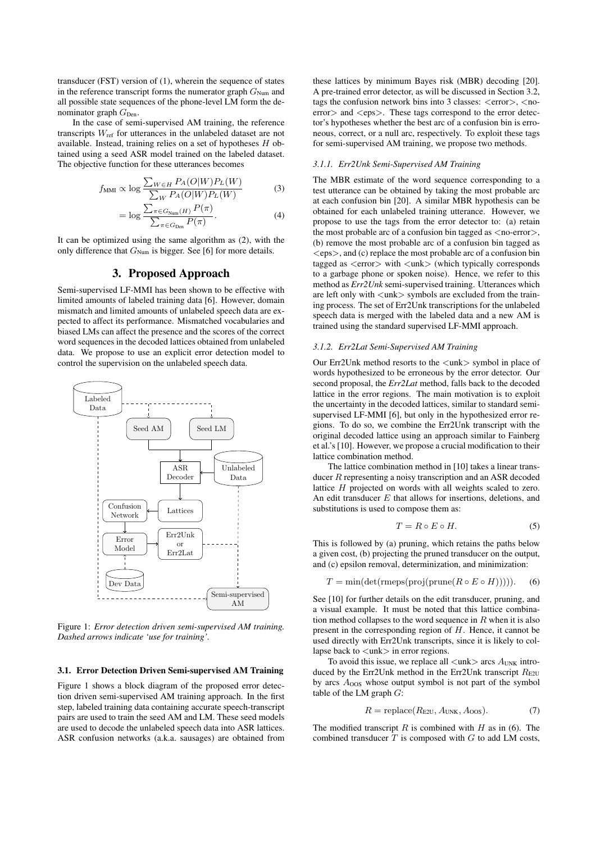transducer (FST) version of (1), wherein the sequence of states in the reference transcript forms the numerator graph  $G_{Num}$  and all possible state sequences of the phone-level LM form the denominator graph  $G_{Den}$ .

In the case of semi-supervised AM training, the reference transcripts  $W_{\text{ref}}$  for utterances in the unlabeled dataset are not available. Instead, training relies on a set of hypotheses  $H$  obtained using a seed ASR model trained on the labeled dataset. The objective function for these utterances becomes

$$
f_{\text{MMI}} \propto \log \frac{\sum_{W \in H} P_A(O|W) P_L(W)}{\sum_W P_A(O|W) P_L(W)} \tag{3}
$$

$$
= \log \frac{\sum_{\pi \in G_{\text{Num}}(H)} P(\pi)}{\sum_{\pi \in G_{\text{Den}}} P(\pi)}.
$$
\n(4)

It can be optimized using the same algorithm as (2), with the only difference that  $G_{Num}$  is bigger. See [6] for more details.

### 3. Proposed Approach

Semi-supervised LF-MMI has been shown to be effective with limited amounts of labeled training data [6]. However, domain mismatch and limited amounts of unlabeled speech data are expected to affect its performance. Mismatched vocabularies and biased LMs can affect the presence and the scores of the correct word sequences in the decoded lattices obtained from unlabeled data. We propose to use an explicit error detection model to control the supervision on the unlabeled speech data.



Figure 1: *Error detection driven semi-supervised AM training. Dashed arrows indicate 'use for training'.*

#### 3.1. Error Detection Driven Semi-supervised AM Training

Figure 1 shows a block diagram of the proposed error detection driven semi-supervised AM training approach. In the first step, labeled training data containing accurate speech-transcript pairs are used to train the seed AM and LM. These seed models are used to decode the unlabeled speech data into ASR lattices. ASR confusion networks (a.k.a. sausages) are obtained from these lattices by minimum Bayes risk (MBR) decoding [20]. A pre-trained error detector, as will be discussed in Section 3.2, tags the confusion network bins into 3 classes:  $\langle error \rangle$ ,  $\langle$  noerror > and <eps >. These tags correspond to the error detector's hypotheses whether the best arc of a confusion bin is erroneous, correct, or a null arc, respectively. To exploit these tags for semi-supervised AM training, we propose two methods.

#### *3.1.1. Err2Unk Semi-Supervised AM Training*

The MBR estimate of the word sequence corresponding to a test utterance can be obtained by taking the most probable arc at each confusion bin [20]. A similar MBR hypothesis can be obtained for each unlabeled training utterance. However, we propose to use the tags from the error detector to: (a) retain the most probable arc of a confusion bin tagged as  $\langle$  no-error $\rangle$ , (b) remove the most probable arc of a confusion bin tagged as  $\langle eps \rangle$ , and (c) replace the most probable arc of a confusion bin tagged as <error> with <unk> (which typically corresponds to a garbage phone or spoken noise). Hence, we refer to this method as *Err2Unk* semi-supervised training. Utterances which are left only with  $\langle$ unk $\rangle$  symbols are excluded from the training process. The set of Err2Unk transcriptions for the unlabeled speech data is merged with the labeled data and a new AM is trained using the standard supervised LF-MMI approach.

#### *3.1.2. Err2Lat Semi-Supervised AM Training*

Our Err2Unk method resorts to the <unk> symbol in place of words hypothesized to be erroneous by the error detector. Our second proposal, the *Err2Lat* method, falls back to the decoded lattice in the error regions. The main motivation is to exploit the uncertainty in the decoded lattices, similar to standard semisupervised LF-MMI [6], but only in the hypothesized error regions. To do so, we combine the Err2Unk transcript with the original decoded lattice using an approach similar to Fainberg et al.'s [10]. However, we propose a crucial modification to their lattice combination method.

The lattice combination method in [10] takes a linear transducer R representing a noisy transcription and an ASR decoded lattice H projected on words with all weights scaled to zero. An edit transducer  $E$  that allows for insertions, deletions, and substitutions is used to compose them as:

$$
T = R \circ E \circ H. \tag{5}
$$

This is followed by (a) pruning, which retains the paths below a given cost, (b) projecting the pruned transducer on the output, and (c) epsilon removal, determinization, and minimization:

$$
T = \min(\det(\text{rmeps}(\text{proj}(\text{prune}(R \circ E \circ H))))). \tag{6}
$$

See [10] for further details on the edit transducer, pruning, and a visual example. It must be noted that this lattice combination method collapses to the word sequence in  $R$  when it is also present in the corresponding region of H. Hence, it cannot be used directly with Err2Unk transcripts, since it is likely to collapse back to  $\langle$ unk $\rangle$  in error regions.

To avoid this issue, we replace all  $\langle$ unk $\rangle$  arcs  $A_{\text{UNK}}$  introduced by the Err2Unk method in the Err2Unk transcript  $R_{E2U}$ by arcs  $A<sub>00S</sub>$  whose output symbol is not part of the symbol table of the LM graph  $G$ :

$$
R = \text{replace}(R_{\text{E2U}}, A_{\text{UNK}}, A_{\text{OOS}}). \tag{7}
$$

The modified transcript  $R$  is combined with  $H$  as in (6). The combined transducer  $T$  is composed with  $G$  to add LM costs,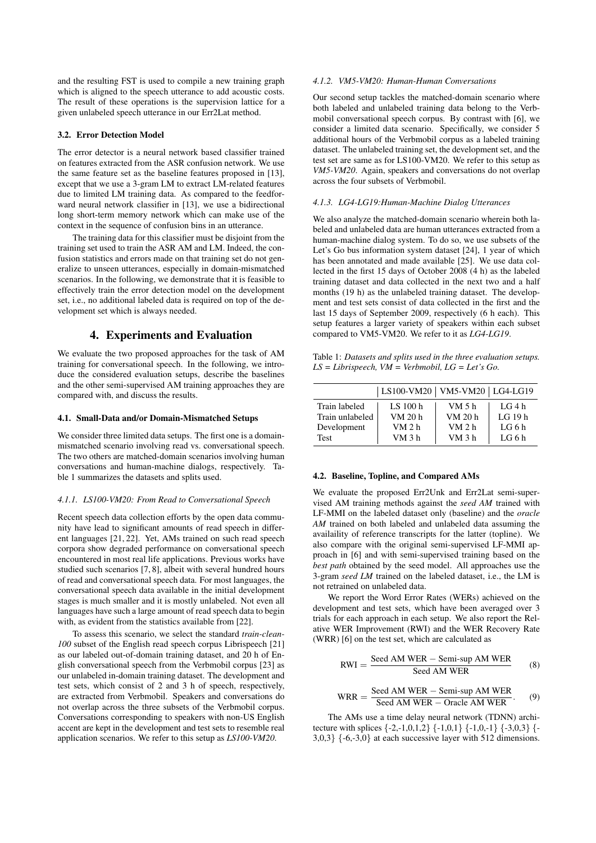and the resulting FST is used to compile a new training graph which is aligned to the speech utterance to add acoustic costs. The result of these operations is the supervision lattice for a given unlabeled speech utterance in our Err2Lat method.

#### 3.2. Error Detection Model

The error detector is a neural network based classifier trained on features extracted from the ASR confusion network. We use the same feature set as the baseline features proposed in [13], except that we use a 3-gram LM to extract LM-related features due to limited LM training data. As compared to the feedforward neural network classifier in [13], we use a bidirectional long short-term memory network which can make use of the context in the sequence of confusion bins in an utterance.

The training data for this classifier must be disjoint from the training set used to train the ASR AM and LM. Indeed, the confusion statistics and errors made on that training set do not generalize to unseen utterances, especially in domain-mismatched scenarios. In the following, we demonstrate that it is feasible to effectively train the error detection model on the development set, i.e., no additional labeled data is required on top of the development set which is always needed.

## 4. Experiments and Evaluation

We evaluate the two proposed approaches for the task of AM training for conversational speech. In the following, we introduce the considered evaluation setups, describe the baselines and the other semi-supervised AM training approaches they are compared with, and discuss the results.

#### 4.1. Small-Data and/or Domain-Mismatched Setups

We consider three limited data setups. The first one is a domainmismatched scenario involving read vs. conversational speech. The two others are matched-domain scenarios involving human conversations and human-machine dialogs, respectively. Table 1 summarizes the datasets and splits used.

### *4.1.1. LS100-VM20: From Read to Conversational Speech*

Recent speech data collection efforts by the open data community have lead to significant amounts of read speech in different languages [21, 22]. Yet, AMs trained on such read speech corpora show degraded performance on conversational speech encountered in most real life applications. Previous works have studied such scenarios [7, 8], albeit with several hundred hours of read and conversational speech data. For most languages, the conversational speech data available in the initial development stages is much smaller and it is mostly unlabeled. Not even all languages have such a large amount of read speech data to begin with, as evident from the statistics available from [22].

To assess this scenario, we select the standard *train-clean-100* subset of the English read speech corpus Librispeech [21] as our labeled out-of-domain training dataset, and 20 h of English conversational speech from the Verbmobil corpus [23] as our unlabeled in-domain training dataset. The development and test sets, which consist of 2 and 3 h of speech, respectively, are extracted from Verbmobil. Speakers and conversations do not overlap across the three subsets of the Verbmobil corpus. Conversations corresponding to speakers with non-US English accent are kept in the development and test sets to resemble real application scenarios. We refer to this setup as *LS100-VM20*.

### *4.1.2. VM5-VM20: Human-Human Conversations*

Our second setup tackles the matched-domain scenario where both labeled and unlabeled training data belong to the Verbmobil conversational speech corpus. By contrast with [6], we consider a limited data scenario. Specifically, we consider 5 additional hours of the Verbmobil corpus as a labeled training dataset. The unlabeled training set, the development set, and the test set are same as for LS100-VM20. We refer to this setup as *VM5-VM20*. Again, speakers and conversations do not overlap across the four subsets of Verbmobil.

### *4.1.3. LG4-LG19:Human-Machine Dialog Utterances*

We also analyze the matched-domain scenario wherein both labeled and unlabeled data are human utterances extracted from a human-machine dialog system. To do so, we use subsets of the Let's Go bus information system dataset [24], 1 year of which has been annotated and made available [25]. We use data collected in the first 15 days of October 2008 (4 h) as the labeled training dataset and data collected in the next two and a half months (19 h) as the unlabeled training dataset. The development and test sets consist of data collected in the first and the last 15 days of September 2009, respectively (6 h each). This setup features a larger variety of speakers within each subset compared to VM5-VM20. We refer to it as *LG4-LG19*.

Table 1: *Datasets and splits used in the three evaluation setups. LS = Librispeech, VM = Verbmobil, LG = Let's Go.*

|                 | LS100-VM20   VM5-VM20   LG4-LG19 |                   |          |
|-----------------|----------------------------------|-------------------|----------|
| Train labeled   | LS $100h$                        | VM 5 h            | LG4h     |
| Train unlabeled | VM 20 h                          | VM 20 h           | LG $19h$ |
| Development     | VM 2 h                           | VM <sub>2</sub> h | LG 6 $h$ |
| Test            | VM 3 h                           | VM <sub>3</sub> h | LG6h     |

#### 4.2. Baseline, Topline, and Compared AMs

We evaluate the proposed Err2Unk and Err2Lat semi-supervised AM training methods against the *seed AM* trained with LF-MMI on the labeled dataset only (baseline) and the *oracle AM* trained on both labeled and unlabeled data assuming the availaility of reference transcripts for the latter (topline). We also compare with the original semi-supervised LF-MMI approach in [6] and with semi-supervised training based on the *best path* obtained by the seed model. All approaches use the 3-gram *seed LM* trained on the labeled dataset, i.e., the LM is not retrained on unlabeled data.

We report the Word Error Rates (WERs) achieved on the development and test sets, which have been averaged over 3 trials for each approach in each setup. We also report the Relative WER Improvement (RWI) and the WER Recovery Rate (WRR) [6] on the test set, which are calculated as

$$
RWI = \frac{Seed AM WER - Semi-sup AM WER}{Seed AM WER}
$$
 (8)

$$
WRR = \frac{\text{Seed AM WER} - \text{Semi-sup AM WER}}{\text{Seed AM WER} - \text{Oracle AM WER}}.
$$
 (9)

The AMs use a time delay neural network (TDNN) architecture with splices  $\{-2,-1,0,1,2\}$   $\{-1,0,1\}$   $\{-1,0,-1\}$   $\{-3,0,3\}$   $\{-$ 3,0,3} {-6,-3,0} at each successive layer with 512 dimensions.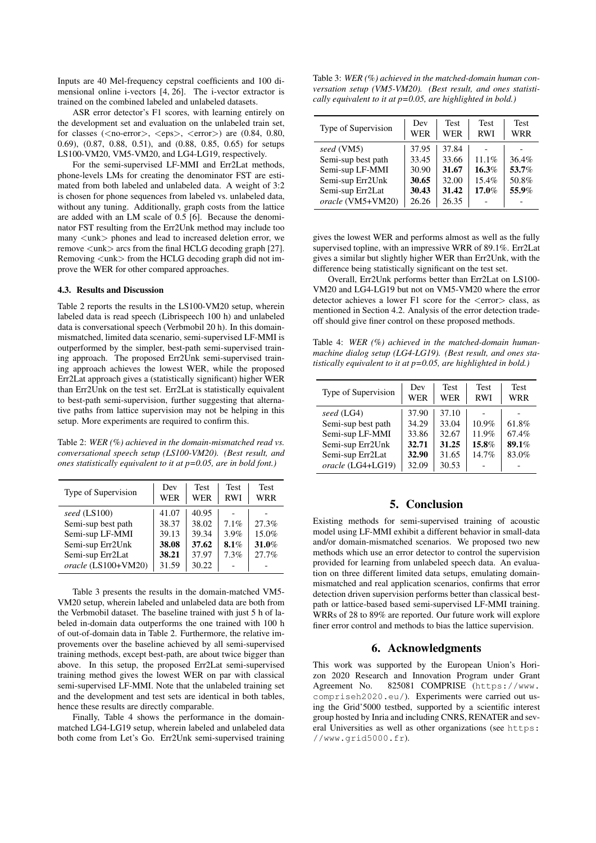Inputs are 40 Mel-frequency cepstral coefficients and 100 dimensional online i-vectors [4, 26]. The i-vector extractor is trained on the combined labeled and unlabeled datasets.

ASR error detector's F1 scores, with learning entirely on the development set and evaluation on the unlabeled train set, for classes ( $\langle$ no-error $\rangle$ ,  $\langle$ eps $\rangle$ ,  $\langle$ error $\rangle$ ) are (0.84, 0.80, 0.69), (0.87, 0.88, 0.51), and (0.88, 0.85, 0.65) for setups LS100-VM20, VM5-VM20, and LG4-LG19, respectively.

For the semi-supervised LF-MMI and Err2Lat methods, phone-levels LMs for creating the denominator FST are estimated from both labeled and unlabeled data. A weight of 3:2 is chosen for phone sequences from labeled vs. unlabeled data, without any tuning. Additionally, graph costs from the lattice are added with an LM scale of 0.5 [6]. Because the denominator FST resulting from the Err2Unk method may include too many  $\langle$ unk $\rangle$  phones and lead to increased deletion error, we remove  $\langle$ unk $\rangle$  arcs from the final HCLG decoding graph [27]. Removing  $\langle$ unk $\rangle$  from the HCLG decoding graph did not improve the WER for other compared approaches.

### 4.3. Results and Discussion

Table 2 reports the results in the LS100-VM20 setup, wherein labeled data is read speech (Librispeech 100 h) and unlabeled data is conversational speech (Verbmobil 20 h). In this domainmismatched, limited data scenario, semi-supervised LF-MMI is outperformed by the simpler, best-path semi-supervised training approach. The proposed Err2Unk semi-supervised training approach achieves the lowest WER, while the proposed Err2Lat approach gives a (statistically significant) higher WER than Err2Unk on the test set. Err2Lat is statistically equivalent to best-path semi-supervision, further suggesting that alternative paths from lattice supervision may not be helping in this setup. More experiments are required to confirm this.

Table 2: *WER (%) achieved in the domain-mismatched read vs. conversational speech setup (LS100-VM20). (Best result, and ones statistically equivalent to it at p=0.05, are in bold font.)*

| Type of Supervision | Dev<br>WER | <b>Test</b><br>WER | <b>Test</b><br><b>RWI</b> | <b>Test</b><br>WRR |
|---------------------|------------|--------------------|---------------------------|--------------------|
| seed (LS100)        | 41.07      | 40.95              |                           |                    |
| Semi-sup best path  | 38.37      | 38.02              | 7.1%                      | 27.3%              |
| Semi-sup LF-MMI     | 39.13      | 39.34              | 3.9%                      | 15.0%              |
| Semi-sup Err2Unk    | 38.08      | 37.62              | 8.1%                      | 31.0%              |
| Semi-sup Err2Lat    | 38.21      | 37.97              | 7.3%                      | 27.7%              |
| oracle (LS100+VM20) | 31.59      | 30.22              |                           |                    |

Table 3 presents the results in the domain-matched VM5- VM20 setup, wherein labeled and unlabeled data are both from the Verbmobil dataset. The baseline trained with just 5 h of labeled in-domain data outperforms the one trained with 100 h of out-of-domain data in Table 2. Furthermore, the relative improvements over the baseline achieved by all semi-supervised training methods, except best-path, are about twice bigger than above. In this setup, the proposed Err2Lat semi-supervised training method gives the lowest WER on par with classical semi-supervised LF-MMI. Note that the unlabeled training set and the development and test sets are identical in both tables, hence these results are directly comparable.

Finally, Table 4 shows the performance in the domainmatched LG4-LG19 setup, wherein labeled and unlabeled data both come from Let's Go. Err2Unk semi-supervised training

Table 3: *WER (%) achieved in the matched-domain human conversation setup (VM5-VM20). (Best result, and ones statistically equivalent to it at p=0.05, are highlighted in bold.)*

| Type of Supervision | Dev<br>WER | <b>Test</b><br>WER | <b>Test</b><br><b>RWI</b> | <b>Test</b><br>WRR |
|---------------------|------------|--------------------|---------------------------|--------------------|
| seed (VM5)          | 37.95      | 37.84              |                           |                    |
| Semi-sup best path  | 33.45      | 33.66              | 11.1%                     | 36.4%              |
| Semi-sup LF-MMI     | 30.90      | 31.67              | 16.3%                     | 53.7%              |
| Semi-sup Err2Unk    | 30.65      | 32.00              | 15.4%                     | 50.8%              |
| Semi-sup Err2Lat    | 30.43      | 31.42              | 17.0%                     | 55.9%              |
| oracle (VM5+VM20)   | 26.26      | 26.35              |                           |                    |

gives the lowest WER and performs almost as well as the fully supervised topline, with an impressive WRR of 89.1%. Err2Lat gives a similar but slightly higher WER than Err2Unk, with the difference being statistically significant on the test set.

Overall, Err2Unk performs better than Err2Lat on LS100- VM20 and LG4-LG19 but not on VM5-VM20 where the error detector achieves a lower F1 score for the  $\langle$ error $\rangle$  class, as mentioned in Section 4.2. Analysis of the error detection tradeoff should give finer control on these proposed methods.

Table 4: *WER (%) achieved in the matched-domain humanmachine dialog setup (LG4-LG19). (Best result, and ones statistically equivalent to it at p=0.05, are highlighted in bold.)*

| Type of Supervision                                                                                              | <b>Test</b><br>Dev<br>WER<br>WER                                                                         | <b>Test</b><br><b>RWI</b>           | <b>Test</b><br><b>WRR</b>        |
|------------------------------------------------------------------------------------------------------------------|----------------------------------------------------------------------------------------------------------|-------------------------------------|----------------------------------|
| seed (LG4)<br>Semi-sup best path<br>Semi-sup LF-MMI<br>Semi-sup Err2Unk<br>Semi-sup Err2Lat<br>oracle (LG4+LG19) | 37.90<br>37.10<br>33.04<br>34.29<br>32.67<br>33.86<br>32.71<br>31.25<br>32.90<br>31.65<br>32.09<br>30.53 | $10.9\%$<br>11.9%<br>15.8%<br>14.7% | 61.8%<br>67.4%<br>89.1%<br>83.0% |

# 5. Conclusion

Existing methods for semi-supervised training of acoustic model using LF-MMI exhibit a different behavior in small-data and/or domain-mismatched scenarios. We proposed two new methods which use an error detector to control the supervision provided for learning from unlabeled speech data. An evaluation on three different limited data setups, emulating domainmismatched and real application scenarios, confirms that error detection driven supervision performs better than classical bestpath or lattice-based based semi-supervised LF-MMI training. WRRs of 28 to 89% are reported. Our future work will explore finer error control and methods to bias the lattice supervision.

# 6. Acknowledgments

This work was supported by the European Union's Horizon 2020 Research and Innovation Program under Grant Agreement No. 825081 COMPRISE (https://www. compriseh2020.eu/). Experiments were carried out using the Grid'5000 testbed, supported by a scientific interest group hosted by Inria and including CNRS, RENATER and several Universities as well as other organizations (see https: //www.grid5000.fr).